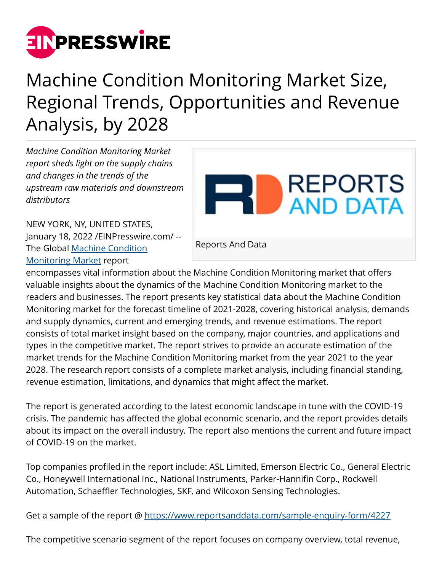

## Machine Condition Monitoring Market Size, Regional Trends, Opportunities and Revenue Analysis, by 2028

*Machine Condition Monitoring Market report sheds light on the supply chains and changes in the trends of the upstream raw materials and downstream distributors*



NEW YORK, NY, UNITED STATES,

January 18, 2022 /[EINPresswire.com](http://www.einpresswire.com)/ -- The Global [Machine Condition](https://www.reportsanddata.com/report-detail/machine-condition-monitoring-market) [Monitoring Market](https://www.reportsanddata.com/report-detail/machine-condition-monitoring-market) report

Reports And Data

encompasses vital information about the Machine Condition Monitoring market that offers valuable insights about the dynamics of the Machine Condition Monitoring market to the readers and businesses. The report presents key statistical data about the Machine Condition Monitoring market for the forecast timeline of 2021-2028, covering historical analysis, demands and supply dynamics, current and emerging trends, and revenue estimations. The report consists of total market insight based on the company, major countries, and applications and types in the competitive market. The report strives to provide an accurate estimation of the market trends for the Machine Condition Monitoring market from the year 2021 to the year 2028. The research report consists of a complete market analysis, including financial standing, revenue estimation, limitations, and dynamics that might affect the market.

The report is generated according to the latest economic landscape in tune with the COVID-19 crisis. The pandemic has affected the global economic scenario, and the report provides details about its impact on the overall industry. The report also mentions the current and future impact of COVID-19 on the market.

Top companies profiled in the report include: ASL Limited, Emerson Electric Co., General Electric Co., Honeywell International Inc., National Instruments, Parker-Hannifin Corp., Rockwell Automation, Schaeffler Technologies, SKF, and Wilcoxon Sensing Technologies.

Get a sample of the report @<https://www.reportsanddata.com/sample-enquiry-form/4227>

The competitive scenario segment of the report focuses on company overview, total revenue,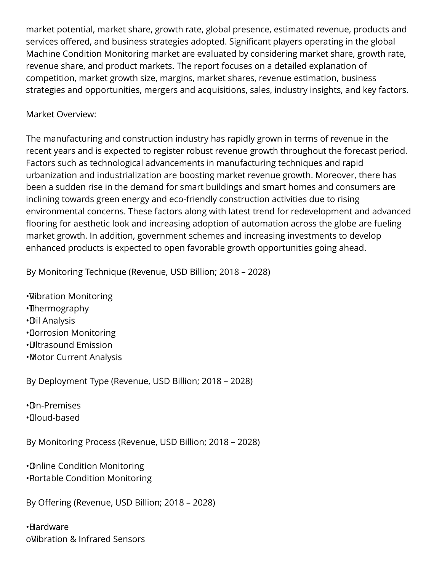market potential, market share, growth rate, global presence, estimated revenue, products and services offered, and business strategies adopted. Significant players operating in the global Machine Condition Monitoring market are evaluated by considering market share, growth rate, revenue share, and product markets. The report focuses on a detailed explanation of competition, market growth size, margins, market shares, revenue estimation, business strategies and opportunities, mergers and acquisitions, sales, industry insights, and key factors.

## Market Overview:

The manufacturing and construction industry has rapidly grown in terms of revenue in the recent years and is expected to register robust revenue growth throughout the forecast period. Factors such as technological advancements in manufacturing techniques and rapid urbanization and industrialization are boosting market revenue growth. Moreover, there has been a sudden rise in the demand for smart buildings and smart homes and consumers are inclining towards green energy and eco-friendly construction activities due to rising environmental concerns. These factors along with latest trend for redevelopment and advanced flooring for aesthetic look and increasing adoption of automation across the globe are fueling market growth. In addition, government schemes and increasing investments to develop enhanced products is expected to open favorable growth opportunities going ahead.

By Monitoring Technique (Revenue, USD Billion; 2018 – 2028)

- • Vibration Monitoring
- Thermography
- • Oil Analysis
- • Corrosion Monitoring
- • Ultrasound Emission
- • Motor Current Analysis

By Deployment Type (Revenue, USD Billion; 2018 – 2028)

• On-Premises • Cloud-based

By Monitoring Process (Revenue, USD Billion; 2018 – 2028)

• Online Condition Monitoring • Portable Condition Monitoring

By Offering (Revenue, USD Billion; 2018 – 2028)

• Hardware o Vibration & Infrared Sensors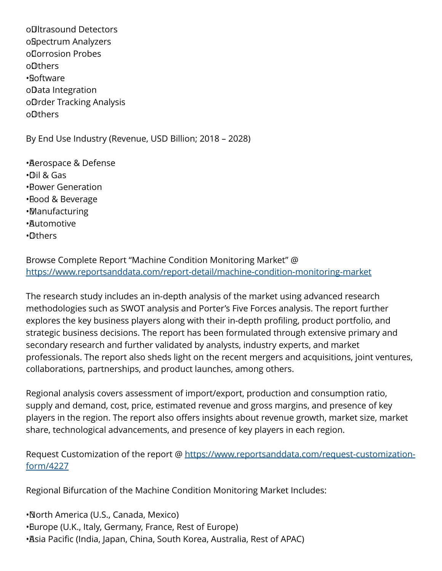o Ultrasound Detectors o Spectrum Analyzers o Corrosion Probes o Others • Software o Data Integration o Order Tracking Analysis o Others

By End Use Industry (Revenue, USD Billion; 2018 – 2028)

• Aerospace & Defense • Oil & Gas • Power Generation • Food & Beverage • Manufacturing • Automotive • Others

Browse Complete Report "Machine Condition Monitoring Market" @ <https://www.reportsanddata.com/report-detail/machine-condition-monitoring-market>

The research study includes an in-depth analysis of the market using advanced research methodologies such as SWOT analysis and Porter's Five Forces analysis. The report further explores the key business players along with their in-depth profiling, product portfolio, and strategic business decisions. The report has been formulated through extensive primary and secondary research and further validated by analysts, industry experts, and market professionals. The report also sheds light on the recent mergers and acquisitions, joint ventures, collaborations, partnerships, and product launches, among others.

Regional analysis covers assessment of import/export, production and consumption ratio, supply and demand, cost, price, estimated revenue and gross margins, and presence of key players in the region. The report also offers insights about revenue growth, market size, market share, technological advancements, and presence of key players in each region.

Request Customization of the report @ [https://www.reportsanddata.com/request-customization](https://www.reportsanddata.com/request-customization-form/4227)[form/4227](https://www.reportsanddata.com/request-customization-form/4227)

Regional Bifurcation of the Machine Condition Monitoring Market Includes:

• North America (U.S., Canada, Mexico)

• Europe (U.K., Italy, Germany, France, Rest of Europe)

• Asia Pacific (India, Japan, China, South Korea, Australia, Rest of APAC)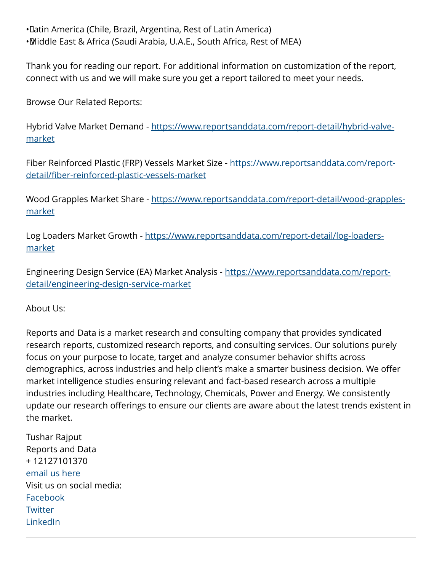• Latin America (Chile, Brazil, Argentina, Rest of Latin America) • Middle East & Africa (Saudi Arabia, U.A.E., South Africa, Rest of MEA)

Thank you for reading our report. For additional information on customization of the report, connect with us and we will make sure you get a report tailored to meet your needs.

Browse Our Related Reports:

Hybrid Valve Market Demand - [https://www.reportsanddata.com/report-detail/hybrid-valve](https://www.reportsanddata.com/report-detail/hybrid-valve-market)[market](https://www.reportsanddata.com/report-detail/hybrid-valve-market)

Fiber Reinforced Plastic (FRP) Vessels Market Size - [https://www.reportsanddata.com/report](https://www.reportsanddata.com/report-detail/fiber-reinforced-plastic-vessels-market)[detail/fiber-reinforced-plastic-vessels-market](https://www.reportsanddata.com/report-detail/fiber-reinforced-plastic-vessels-market)

Wood Grapples Market Share - [https://www.reportsanddata.com/report-detail/wood-grapples](https://www.reportsanddata.com/report-detail/wood-grapples-market)[market](https://www.reportsanddata.com/report-detail/wood-grapples-market)

Log Loaders Market Growth - [https://www.reportsanddata.com/report-detail/log-loaders](https://www.reportsanddata.com/report-detail/log-loaders-market)[market](https://www.reportsanddata.com/report-detail/log-loaders-market)

Engineering Design Service (EA) Market Analysis - [https://www.reportsanddata.com/report](https://www.reportsanddata.com/report-detail/engineering-design-service-market)[detail/engineering-design-service-market](https://www.reportsanddata.com/report-detail/engineering-design-service-market)

About Us:

Reports and Data is a market research and consulting company that provides syndicated research reports, customized research reports, and consulting services. Our solutions purely focus on your purpose to locate, target and analyze consumer behavior shifts across demographics, across industries and help client's make a smarter business decision. We offer market intelligence studies ensuring relevant and fact-based research across a multiple industries including Healthcare, Technology, Chemicals, Power and Energy. We consistently update our research offerings to ensure our clients are aware about the latest trends existent in the market.

Tushar Rajput Reports and Data + 12127101370 [email us here](http://www.einpresswire.com/contact_author/3290366) Visit us on social media: [Facebook](https://www.facebook.com/reportsanddata) **[Twitter](https://twitter.com/reportsanddata)** [LinkedIn](https://www.linkedin.com/company/reports-n-data/)